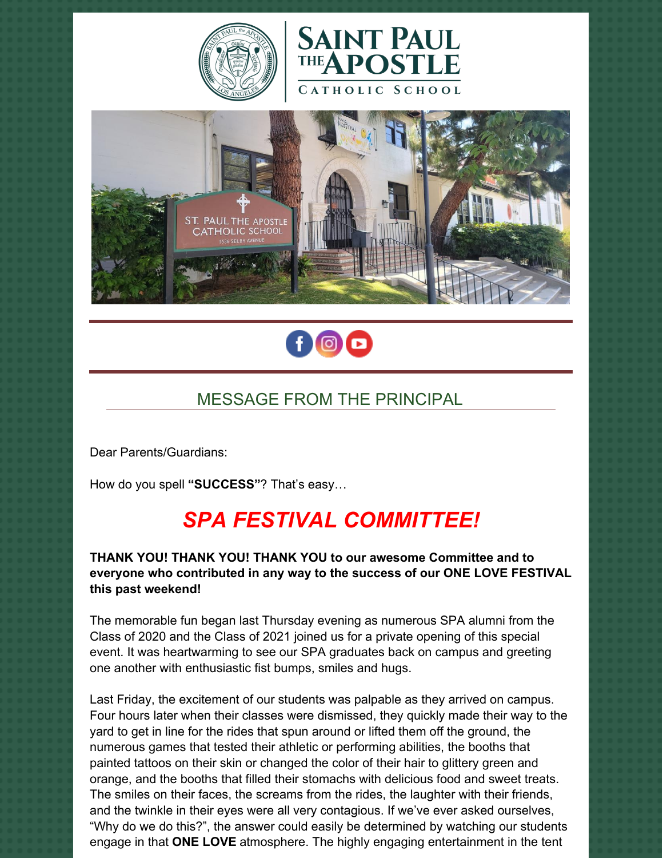







# MESSAGE FROM THE PRINCIPAL

Dear Parents/Guardians:

How do you spell **"SUCCESS"**? That's easy…

# *SPA FESTIVAL COMMITTEE!*

#### **THANK YOU! THANK YOU! THANK YOU to our awesome Committee and to everyone who contributed in any way to the success of our ONE LOVE FESTIVAL this past weekend!**

The memorable fun began last Thursday evening as numerous SPA alumni from the Class of 2020 and the Class of 2021 joined us for a private opening of this special event. It was heartwarming to see our SPA graduates back on campus and greeting one another with enthusiastic fist bumps, smiles and hugs.

Last Friday, the excitement of our students was palpable as they arrived on campus. Four hours later when their classes were dismissed, they quickly made their way to the yard to get in line for the rides that spun around or lifted them off the ground, the numerous games that tested their athletic or performing abilities, the booths that painted tattoos on their skin or changed the color of their hair to glittery green and orange, and the booths that filled their stomachs with delicious food and sweet treats. The smiles on their faces, the screams from the rides, the laughter with their friends, and the twinkle in their eyes were all very contagious. If we've ever asked ourselves, "Why do we do this?", the answer could easily be determined by watching our students engage in that **ONE LOVE** atmosphere. The highly engaging entertainment in the tent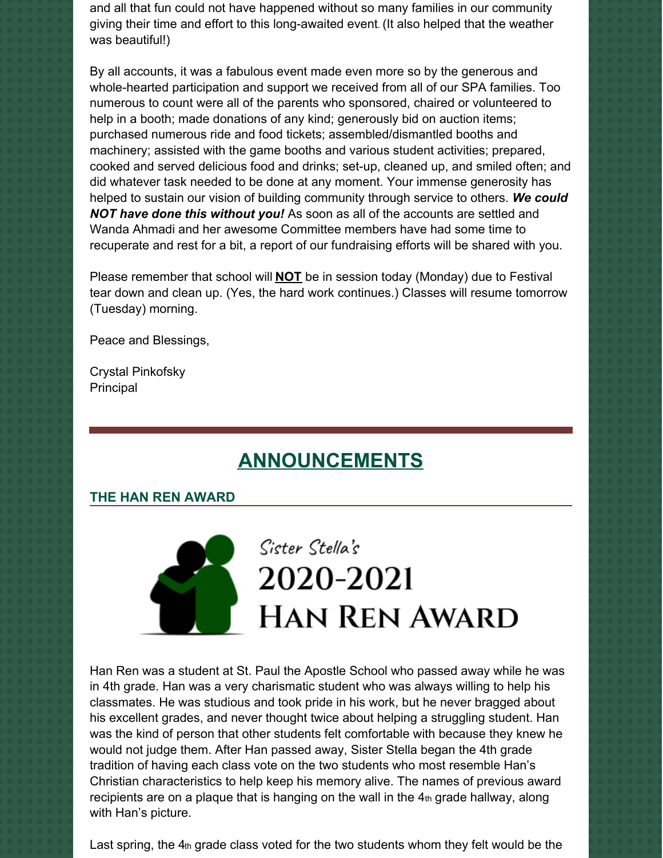and all that fun could not have happened without so many families in our community giving their time and effort to this long-awaited event. (It also helped that the weather was beautiful!)

By all accounts, it was a fabulous event made even more so by the generous and whole-hearted participation and support we received from all of our SPA families. Too numerous to count were all of the parents who sponsored, chaired or volunteered to help in a booth; made donations of any kind; generously bid on auction items; purchased numerous ride and food tickets; assembled/dismantled booths and machinery; assisted with the game booths and various student activities; prepared, cooked and served delicious food and drinks; set-up, cleaned up, and smiled often; and did whatever task needed to be done at any moment. Your immense generosity has helped to sustain our vision of building community through service to others. *We could NOT have done this without you!* As soon as all of the accounts are settled and Wanda Ahmadi and her awesome Committee members have had some time to recuperate and rest for a bit, a report of our fundraising efforts will be shared with you.

Please remember that school will **NOT** be in session today (Monday) due to Festival tear down and clean up. (Yes, the hard work continues.) Classes will resume tomorrow (Tuesday) morning.

Peace and Blessings,

Crystal Pinkofsky Principal

# **ANNOUNCEMENTS**

#### **THE HAN REN AWARD**



# Sister Stella's 2020-2021 **HAN REN AWARD**

Han Ren was a student at St. Paul the Apostle School who passed away while he was in 4th grade. Han was a very charismatic student who was always willing to help his classmates. He was studious and took pride in his work, but he never bragged about his excellent grades, and never thought twice about helping a struggling student. Han was the kind of person that other students felt comfortable with because they knew he would not judge them. After Han passed away, Sister Stella began the 4th grade tradition of having each class vote on the two students who most resemble Han's Christian characteristics to help keep his memory alive. The names of previous award recipients are on a plaque that is hanging on the wall in the  $4<sub>th</sub>$  grade hallway, along with Han's picture.

Last spring, the 4th grade class voted for the two students whom they felt would be the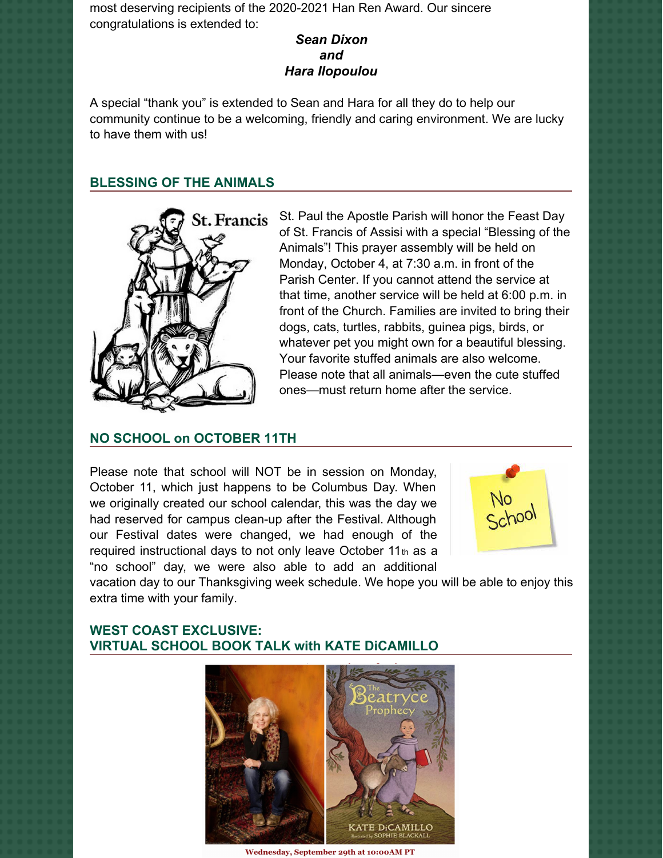most deserving recipients of the 2020-2021 Han Ren Award. Our sincere congratulations is extended to:

#### *Sean Dixon and Hara Ilopoulou*

A special "thank you" is extended to Sean and Hara for all they do to help our community continue to be a welcoming, friendly and caring environment. We are lucky to have them with us!

#### **BLESSING OF THE ANIMALS**



St. Paul the Apostle Parish will honor the Feast Day of St. Francis of Assisi with a special "Blessing of the Animals"! This prayer assembly will be held on Monday, October 4, at 7:30 a.m. in front of the Parish Center. If you cannot attend the service at that time, another service will be held at 6:00 p.m. in front of the Church. Families are invited to bring their dogs, cats, turtles, rabbits, guinea pigs, birds, or whatever pet you might own for a beautiful blessing. Your favorite stuffed animals are also welcome. Please note that all animals—even the cute stuffed ones—must return home after the service.

#### **NO SCHOOL on OCTOBER 11TH**

Please note that school will NOT be in session on Monday, October 11, which just happens to be Columbus Day. When we originally created our school calendar, this was the day we had reserved for campus clean-up after the Festival. Although our Festival dates were changed, we had enough of the required instructional days to not only leave October 11<sup>th</sup> as a "no school" day, we were also able to add an additional



vacation day to our Thanksgiving week schedule. We hope you will be able to enjoy this extra time with your family.

# **WEST COAST EXCLUSIVE: VIRTUAL SCHOOL BOOK TALK with KATE DiCAMILLO**



Wednesday, September 29th at 10:00AM PT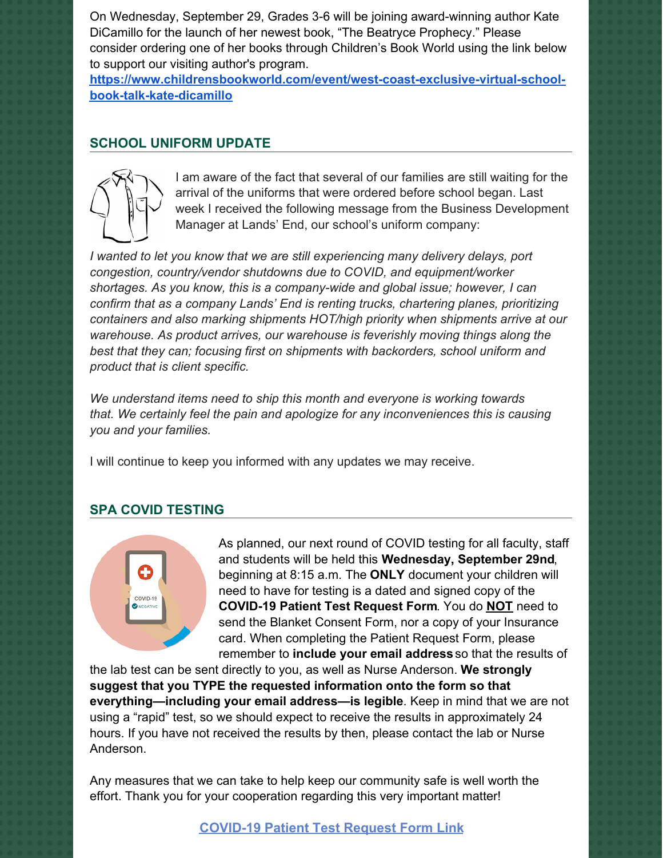On Wednesday, September 29, Grades 3-6 will be joining award-winning author Kate DiCamillo for the launch of her newest book, "The Beatryce Prophecy." Please consider ordering one of her books through Children's Book World using the link below to support our visiting author's program.

**[https://www.childrensbookworld.com/event/west-coast-exclusive-virtual-school](https://www.childrensbookworld.com/event/west-coast-exclusive-virtual-school-book-talk-kate-dicamillo)book-talk-kate-dicamillo**

### **SCHOOL UNIFORM UPDATE**



I am aware of the fact that several of our families are still waiting for the arrival of the uniforms that were ordered before school began. Last week I received the following message from the Business Development Manager at Lands' End, our school's uniform company:

*I wanted to let you know that we are still experiencing many delivery delays, port congestion, country/vendor shutdowns due to COVID, and equipment/worker shortages. As you know, this is a company-wide and global issue; however, I can confirm that as a company Lands' End is renting trucks, chartering planes, prioritizing containers and also marking shipments HOT/high priority when shipments arrive at our warehouse. As product arrives, our warehouse is feverishly moving things along the best that they can; focusing first on shipments with backorders, school uniform and product that is client specific.*

*We understand items need to ship this month and everyone is working towards that. We certainly feel the pain and apologize for any inconveniences this is causing you and your families.*

I will continue to keep you informed with any updates we may receive.

## **SPA COVID TESTING**



As planned, our next round of COVID testing for all faculty, staff and students will be held this **Wednesday, September 29nd**, beginning at 8:15 a.m. The **ONLY** document your children will need to have for testing is a dated and signed copy of the **COVID-19 Patient Test Request Form**. You do **NOT** need to send the Blanket Consent Form, nor a copy of your Insurance card. When completing the Patient Request Form, please remember to **include your email address** so that the results of

the lab test can be sent directly to you, as well as Nurse Anderson. **We strongly suggest that you TYPE the requested information onto the form so that everything—including your email address—is legible**. Keep in mind that we are not using a "rapid" test, so we should expect to receive the results in approximately 24 hours. If you have not received the results by then, please contact the lab or Nurse Anderson.

Any measures that we can take to help keep our community safe is well worth the effort. Thank you for your cooperation regarding this very important matter!